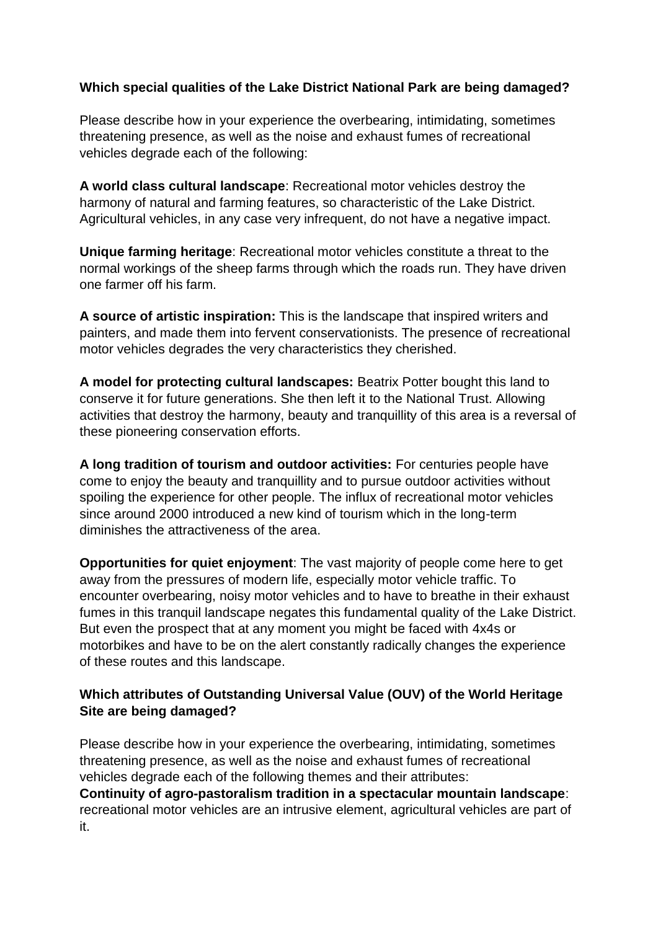## **Which special qualities of the Lake District National Park are being damaged?**

Please describe how in your experience the overbearing, intimidating, sometimes threatening presence, as well as the noise and exhaust fumes of recreational vehicles degrade each of the following:

**A world class cultural landscape**: Recreational motor vehicles destroy the harmony of natural and farming features, so characteristic of the Lake District. Agricultural vehicles, in any case very infrequent, do not have a negative impact.

**Unique farming heritage**: Recreational motor vehicles constitute a threat to the normal workings of the sheep farms through which the roads run. They have driven one farmer off his farm.

**A source of artistic inspiration:** This is the landscape that inspired writers and painters, and made them into fervent conservationists. The presence of recreational motor vehicles degrades the very characteristics they cherished.

**A model for protecting cultural landscapes:** Beatrix Potter bought this land to conserve it for future generations. She then left it to the National Trust. Allowing activities that destroy the harmony, beauty and tranquillity of this area is a reversal of these pioneering conservation efforts.

**A long tradition of tourism and outdoor activities:** For centuries people have come to enjoy the beauty and tranquillity and to pursue outdoor activities without spoiling the experience for other people. The influx of recreational motor vehicles since around 2000 introduced a new kind of tourism which in the long-term diminishes the attractiveness of the area.

**Opportunities for quiet enjoyment:** The vast majority of people come here to get away from the pressures of modern life, especially motor vehicle traffic. To encounter overbearing, noisy motor vehicles and to have to breathe in their exhaust fumes in this tranquil landscape negates this fundamental quality of the Lake District. But even the prospect that at any moment you might be faced with 4x4s or motorbikes and have to be on the alert constantly radically changes the experience of these routes and this landscape.

## **Which attributes of Outstanding Universal Value (OUV) of the World Heritage Site are being damaged?**

Please describe how in your experience the overbearing, intimidating, sometimes threatening presence, as well as the noise and exhaust fumes of recreational vehicles degrade each of the following themes and their attributes: **Continuity of agro-pastoralism tradition in a spectacular mountain landscape**: recreational motor vehicles are an intrusive element, agricultural vehicles are part of it.